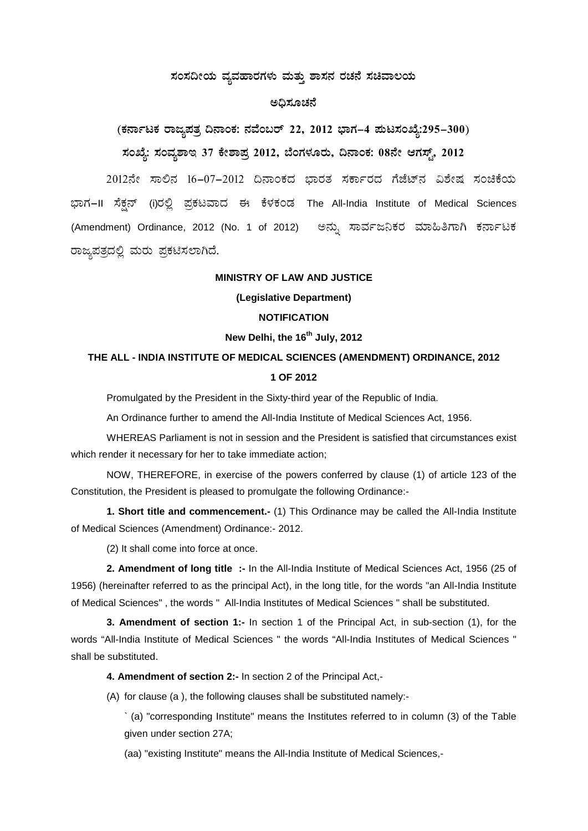## ಸಂಸದೀಯ ವ್ಯವಹಾರಗಳು ಮತ್ತು **ಶಾಸನ ರಚನೆ ಸಚಿವಾಲ**ಯ

## ಅಧಿಸೂಚನೆ

**(PÀ£ÁðlPÀ gÁdå¥ÀvÀæ ¢£ÁAPÀ: £ÀªÉA§gï 22, 2012 ¨sÁUÀ-4 ¥ÀÄl¸ÀASÉå:295-300)** ಸಂಖ್ಯೆ: ಸಂವೃಶಾಇ 37 ಕೇಶಾಪ್ರ 2012, ಬೆಂಗಳೂರು, ದಿನಾಂಕ: 08ನೇ ಆಗಸ್ಟ್, 2012

2012ನೇ ಸಾಲಿನ 16-07-2012 ದಿನಾಂಕದ ಭಾರತ ಸರ್ಕಾರದ ಗೆಜೆಟ್ ವಿಶೇಷ ಸಂಚಿಕೆಯ ಭಾಗ–II ಸೆಕ್ಷನ್ (i)ರಲ್ಲಿ ಪ್ರಕಟವಾದ ಈ ಕೆಳಕಂಡ The All-India Institute of Medical Sciences (Amendment) Ordinance, 2012 (No. 1 of 2012) ಅನ್ಸು ಸಾರ್ವಜನಿಕರ ಮಾಹಿತಿಗಾಗಿ ಕರ್ನಾಟಕ ರಾಜ್ಯಪತ್ರದಲ್ಲಿ ಮರು ಪ್ರಕಟಿಸಲಾಗಿದೆ.

#### **MINISTRY OF LAW AND JUSTICE**

**(Legislative Department)**

### **NOTIFICATION**

## **New Delhi, the 16th July, 2012**

# **THE ALL - INDIA INSTITUTE OF MEDICAL SCIENCES (AMENDMENT) ORDINANCE, 2012 1 OF 2012**

Promulgated by the President in the Sixty-third year of the Republic of India.

An Ordinance further to amend the All-India Institute of Medical Sciences Act, 1956.

WHEREAS Parliament is not in session and the President is satisfied that circumstances exist which render it necessary for her to take immediate action;

NOW, THEREFORE, in exercise of the powers conferred by clause (1) of article 123 of the Constitution, the President is pleased to promulgate the following Ordinance:-

**1. Short title and commencement.-** (1) This Ordinance may be called the All-India Institute of Medical Sciences (Amendment) Ordinance:- 2012.

(2) It shall come into force at once.

**2. Amendment of long title :-** In the All-India Institute of Medical Sciences Act, 1956 (25 of 1956) (hereinafter referred to as the principal Act), in the long title, for the words "an All-India Institute of Medical Sciences" , the words " All-India Institutes of Medical Sciences " shall be substituted.

**3. Amendment of section 1:-** In section 1 of the Principal Act, in sub-section (1), for the words "All-India Institute of Medical Sciences " the words "All-India Institutes of Medical Sciences " shall be substituted.

**4. Amendment of section 2:-** In section 2 of the Principal Act,-

(A) for clause (a ), the following clauses shall be substituted namely:-

` (a) "corresponding Institute" means the Institutes referred to in column (3) of the Table given under section 27A;

(aa) "existing Institute" means the All-India Institute of Medical Sciences,-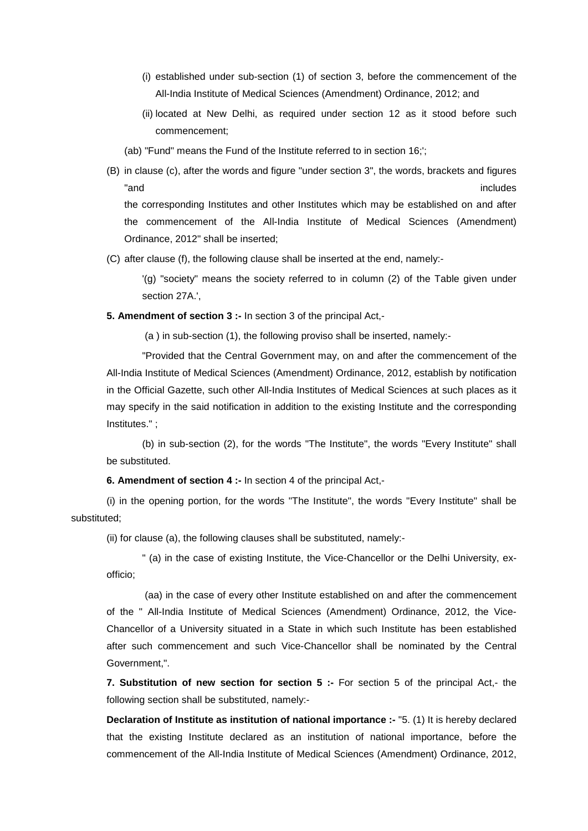- (i) established under sub-section (1) of section 3, before the commencement of the All-India Institute of Medical Sciences (Amendment) Ordinance, 2012; and
- (ii) located at New Delhi, as required under section 12 as it stood before such commencement;
- (ab) "Fund" means the Fund of the Institute referred to in section 16;';
- (B) in clause (c), after the words and figure "under section 3", the words, brackets and figures "and includes" and includes the state of the state of the state of the state of the state of the state of the state of the state of the state of the state of the state of the state of the state of the state of the state of the corresponding Institutes and other Institutes which may be established on and after the commencement of the All-India Institute of Medical Sciences (Amendment) Ordinance, 2012" shall be inserted;
- (C) after clause (f), the following clause shall be inserted at the end, namely:-

'(g) "society" means the society referred to in column (2) of the Table given under section 27A.',

**5. Amendment of section 3 :-** In section 3 of the principal Act,-

(a ) in sub-section (1), the following proviso shall be inserted, namely:-

"Provided that the Central Government may, on and after the commencement of the All-India Institute of Medical Sciences (Amendment) Ordinance, 2012, establish by notification in the Official Gazette, such other All-India Institutes of Medical Sciences at such places as it may specify in the said notification in addition to the existing Institute and the corresponding Institutes." ;

(b) in sub-section (2), for the words "The Institute", the words "Every Institute" shall be substituted.

**6. Amendment of section 4 :-** In section 4 of the principal Act,-

(i) in the opening portion, for the words "The Institute", the words "Every Institute" shall be substituted;

(ii) for clause (a), the following clauses shall be substituted, namely:-

" (a) in the case of existing Institute, the Vice-Chancellor or the Delhi University, exofficio;

(aa) in the case of every other Institute established on and after the commencement of the " All-India Institute of Medical Sciences (Amendment) Ordinance, 2012, the Vice-Chancellor of a University situated in a State in which such Institute has been established after such commencement and such Vice-Chancellor shall be nominated by the Central Government,".

**7. Substitution of new section for section 5 :-** For section 5 of the principal Act,- the following section shall be substituted, namely:-

**Declaration of Institute as institution of national importance :- "5. (1) It is hereby declared** that the existing Institute declared as an institution of national importance, before the commencement of the All-India Institute of Medical Sciences (Amendment) Ordinance, 2012,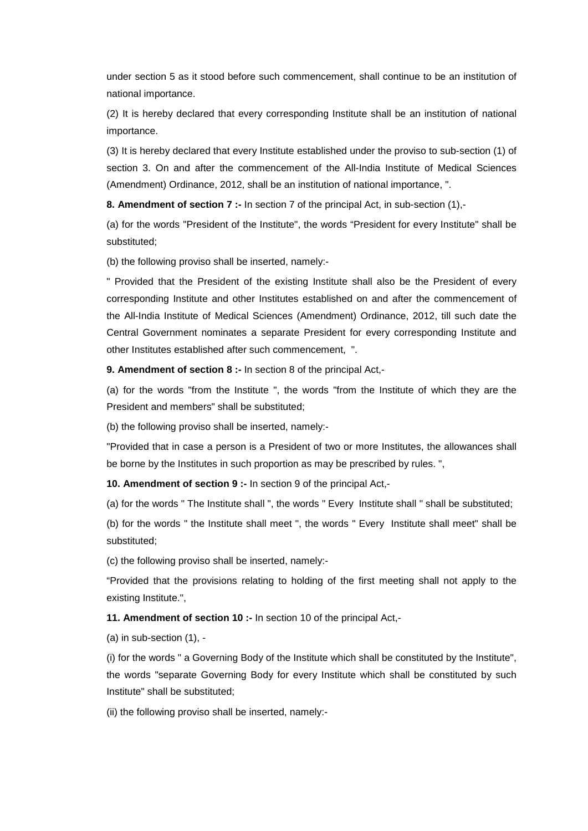under section 5 as it stood before such commencement, shall continue to be an institution of national importance.

(2) It is hereby declared that every corresponding Institute shall be an institution of national importance.

(3) It is hereby declared that every Institute established under the proviso to sub-section (1) of section 3. On and after the commencement of the All-India Institute of Medical Sciences (Amendment) Ordinance, 2012, shall be an institution of national importance, ".

**8. Amendment of section 7 :-** In section 7 of the principal Act, in sub-section (1),-

(a) for the words "President of the Institute", the words "President for every Institute" shall be substituted;

(b) the following proviso shall be inserted, namely:-

" Provided that the President of the existing Institute shall also be the President of every corresponding Institute and other Institutes established on and after the commencement of the All-India Institute of Medical Sciences (Amendment) Ordinance, 2012, till such date the Central Government nominates a separate President for every corresponding Institute and other Institutes established after such commencement, ".

**9. Amendment of section 8 :-** In section 8 of the principal Act,-

(a) for the words "from the Institute ", the words "from the Institute of which they are the President and members" shall be substituted;

(b) the following proviso shall be inserted, namely:-

"Provided that in case a person is a President of two or more Institutes, the allowances shall be borne by the Institutes in such proportion as may be prescribed by rules. ",

**10. Amendment of section 9 :-** In section 9 of the principal Act,-

(a) for the words " The Institute shall ", the words " Every Institute shall " shall be substituted;

(b) for the words " the Institute shall meet ", the words " Every Institute shall meet" shall be substituted;

(c) the following proviso shall be inserted, namely:-

"Provided that the provisions relating to holding of the first meeting shall not apply to the existing Institute.",

**11. Amendment of section 10 :-** In section 10 of the principal Act,-

(a) in sub-section (1), -

(i) for the words " a Governing Body of the Institute which shall be constituted by the Institute", the words "separate Governing Body for every Institute which shall be constituted by such Institute" shall be substituted;

(ii) the following proviso shall be inserted, namely:-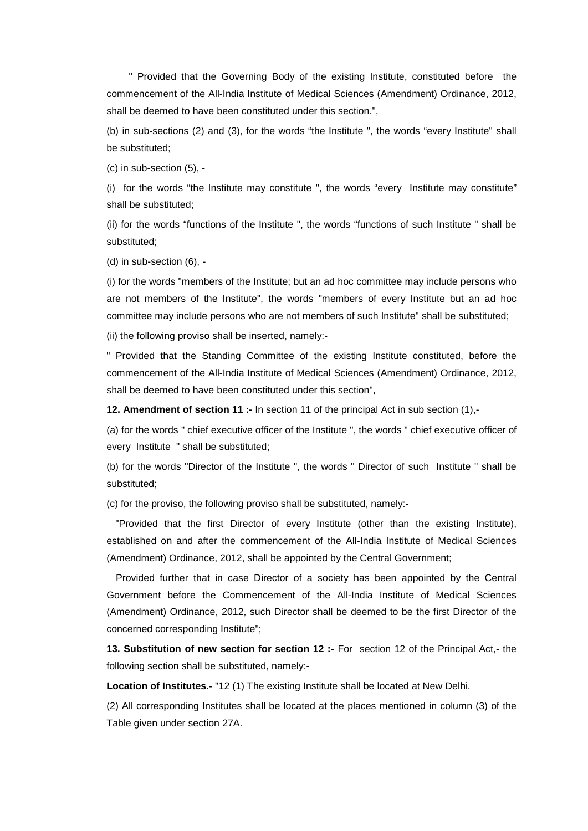" Provided that the Governing Body of the existing Institute, constituted before the commencement of the All-India Institute of Medical Sciences (Amendment) Ordinance, 2012, shall be deemed to have been constituted under this section.",

(b) in sub-sections (2) and (3), for the words "the Institute ", the words "every Institute" shall be substituted;

(c) in sub-section (5), -

(i) for the words "the Institute may constitute ", the words "every Institute may constitute" shall be substituted;

(ii) for the words "functions of the Institute ", the words "functions of such Institute " shall be substituted;

(d) in sub-section (6), -

(i) for the words "members of the Institute; but an ad hoc committee may include persons who are not members of the Institute", the words "members of every Institute but an ad hoc committee may include persons who are not members of such Institute" shall be substituted;

(ii) the following proviso shall be inserted, namely:-

" Provided that the Standing Committee of the existing Institute constituted, before the commencement of the All-India Institute of Medical Sciences (Amendment) Ordinance, 2012, shall be deemed to have been constituted under this section",

**12. Amendment of section 11 :-** In section 11 of the principal Act in sub section (1),-

(a) for the words " chief executive officer of the Institute ", the words " chief executive officer of every Institute " shall be substituted;

(b) for the words "Director of the Institute ", the words " Director of such Institute " shall be substituted;

(c) for the proviso, the following proviso shall be substituted, namely:-

"Provided that the first Director of every Institute (other than the existing Institute), established on and after the commencement of the All-India Institute of Medical Sciences (Amendment) Ordinance, 2012, shall be appointed by the Central Government;

Provided further that in case Director of a society has been appointed by the Central Government before the Commencement of the All-India Institute of Medical Sciences (Amendment) Ordinance, 2012, such Director shall be deemed to be the first Director of the concerned corresponding Institute";

**13. Substitution of new section for section 12 :-** For section 12 of the Principal Act,- the following section shall be substituted, namely:-

**Location of Institutes.-** "12 (1) The existing Institute shall be located at New Delhi.

(2) All corresponding Institutes shall be located at the places mentioned in column (3) of the Table given under section 27A.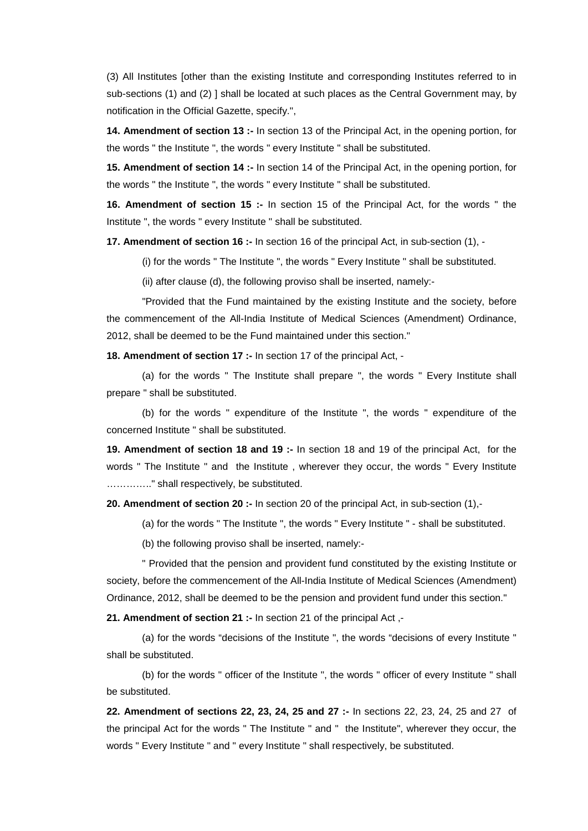(3) All Institutes [other than the existing Institute and corresponding Institutes referred to in sub-sections (1) and (2) ] shall be located at such places as the Central Government may, by notification in the Official Gazette, specify.",

**14. Amendment of section 13 :-** In section 13 of the Principal Act, in the opening portion, for the words " the Institute ", the words " every Institute " shall be substituted.

**15. Amendment of section 14 :-** In section 14 of the Principal Act, in the opening portion, for the words " the Institute ", the words " every Institute " shall be substituted.

**16. Amendment of section 15 :-** In section 15 of the Principal Act, for the words " the Institute ", the words " every Institute " shall be substituted.

**17. Amendment of section 16 :-** In section 16 of the principal Act, in sub-section (1), -

(i) for the words " The Institute ", the words " Every Institute " shall be substituted.

(ii) after clause (d), the following proviso shall be inserted, namely:-

"Provided that the Fund maintained by the existing Institute and the society, before the commencement of the All-India Institute of Medical Sciences (Amendment) Ordinance, 2012, shall be deemed to be the Fund maintained under this section."

**18. Amendment of section 17 :-** In section 17 of the principal Act, -

(a) for the words " The Institute shall prepare ", the words " Every Institute shall prepare " shall be substituted.

(b) for the words " expenditure of the Institute ", the words " expenditure of the concerned Institute " shall be substituted.

**19. Amendment of section 18 and 19 :-** In section 18 and 19 of the principal Act, for the words " The Institute " and the Institute , wherever they occur, the words " Every Institute ………….." shall respectively, be substituted.

**20. Amendment of section 20 :-** In section 20 of the principal Act, in sub-section (1),-

(a) for the words " The Institute ", the words " Every Institute " - shall be substituted.

(b) the following proviso shall be inserted, namely:-

" Provided that the pension and provident fund constituted by the existing Institute or society, before the commencement of the All-India Institute of Medical Sciences (Amendment) Ordinance, 2012, shall be deemed to be the pension and provident fund under this section."

**21. Amendment of section 21 :-** In section 21 of the principal Act ,-

(a) for the words "decisions of the Institute ", the words "decisions of every Institute " shall be substituted.

(b) for the words " officer of the Institute ", the words " officer of every Institute " shall be substituted.

**22. Amendment of sections 22, 23, 24, 25 and 27 :-** In sections 22, 23, 24, 25 and 27 of the principal Act for the words " The Institute " and " the Institute", wherever they occur, the words " Every Institute " and " every Institute " shall respectively, be substituted.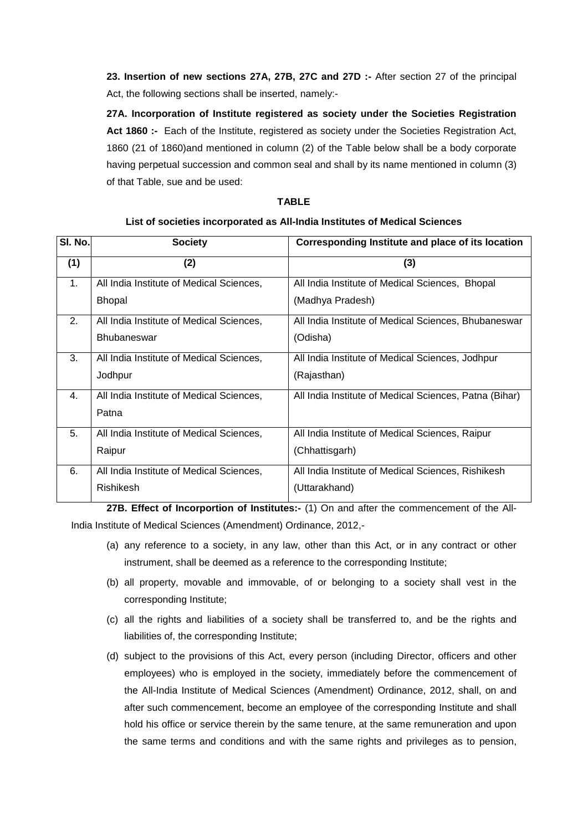**23. Insertion of new sections 27A, 27B, 27C and 27D :-** After section 27 of the principal Act, the following sections shall be inserted, namely:-

**27A. Incorporation of Institute registered as society under the Societies Registration Act 1860 :-** Each of the Institute, registered as society under the Societies Registration Act, 1860 (21 of 1860)and mentioned in column (2) of the Table below shall be a body corporate having perpetual succession and common seal and shall by its name mentioned in column (3) of that Table, sue and be used:

#### **TABLE**

#### **List of societies incorporated as All-India Institutes of Medical Sciences**

| SI. No.        | <b>Society</b>                           | Corresponding Institute and place of its location      |
|----------------|------------------------------------------|--------------------------------------------------------|
| (1)            | (2)                                      | (3)                                                    |
| 1 <sub>1</sub> | All India Institute of Medical Sciences, | All India Institute of Medical Sciences, Bhopal        |
|                | <b>Bhopal</b>                            | (Madhya Pradesh)                                       |
| 2.             | All India Institute of Medical Sciences, | All India Institute of Medical Sciences, Bhubaneswar   |
|                | <b>Bhubaneswar</b>                       | (Odisha)                                               |
| 3.             | All India Institute of Medical Sciences, | All India Institute of Medical Sciences, Jodhpur       |
|                | Jodhpur                                  | (Rajasthan)                                            |
| 4.             | All India Institute of Medical Sciences, | All India Institute of Medical Sciences, Patna (Bihar) |
|                | Patna                                    |                                                        |
| 5.             | All India Institute of Medical Sciences, | All India Institute of Medical Sciences, Raipur        |
|                | Raipur                                   | (Chhattisgarh)                                         |
| 6.             | All India Institute of Medical Sciences, | All India Institute of Medical Sciences, Rishikesh     |
|                | Rishikesh                                | (Uttarakhand)                                          |

**27B. Effect of Incorportion of Institutes:-** (1) On and after the commencement of the All-India Institute of Medical Sciences (Amendment) Ordinance, 2012,-

- (a) any reference to a society, in any law, other than this Act, or in any contract or other instrument, shall be deemed as a reference to the corresponding Institute;
- (b) all property, movable and immovable, of or belonging to a society shall vest in the corresponding Institute;
- (c) all the rights and liabilities of a society shall be transferred to, and be the rights and liabilities of, the corresponding Institute;
- (d) subject to the provisions of this Act, every person (including Director, officers and other employees) who is employed in the society, immediately before the commencement of the All-India Institute of Medical Sciences (Amendment) Ordinance, 2012, shall, on and after such commencement, become an employee of the corresponding Institute and shall hold his office or service therein by the same tenure, at the same remuneration and upon the same terms and conditions and with the same rights and privileges as to pension,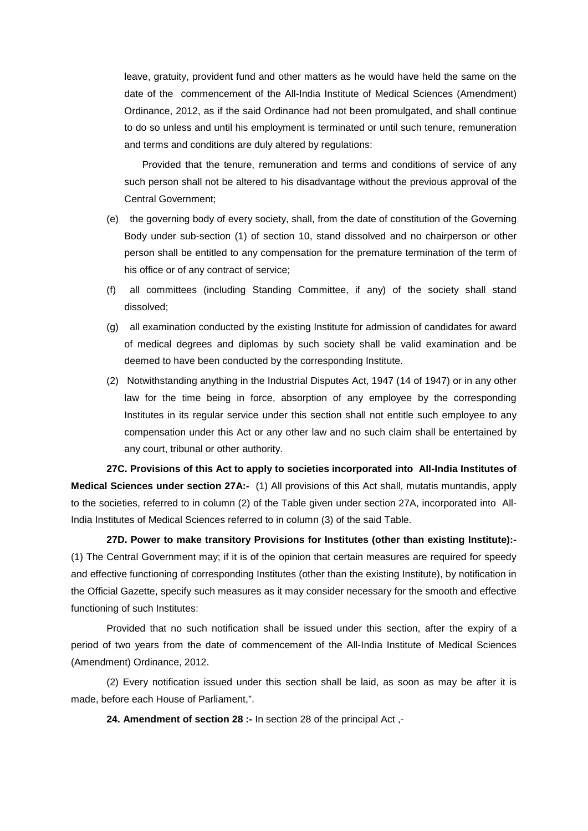leave, gratuity, provident fund and other matters as he would have held the same on the date of the commencement of the All-India Institute of Medical Sciences (Amendment) Ordinance, 2012, as if the said Ordinance had not been promulgated, and shall continue to do so unless and until his employment is terminated or until such tenure, remuneration and terms and conditions are duly altered by regulations:

Provided that the tenure, remuneration and terms and conditions of service of any such person shall not be altered to his disadvantage without the previous approval of the Central Government;

- (e) the governing body of every society, shall, from the date of constitution of the Governing Body under sub-section (1) of section 10, stand dissolved and no chairperson or other person shall be entitled to any compensation for the premature termination of the term of his office or of any contract of service;
- (f) all committees (including Standing Committee, if any) of the society shall stand dissolved;
- (g) all examination conducted by the existing Institute for admission of candidates for award of medical degrees and diplomas by such society shall be valid examination and be deemed to have been conducted by the corresponding Institute.
- (2) Notwithstanding anything in the Industrial Disputes Act, 1947 (14 of 1947) or in any other law for the time being in force, absorption of any employee by the corresponding Institutes in its regular service under this section shall not entitle such employee to any compensation under this Act or any other law and no such claim shall be entertained by any court, tribunal or other authority.

**27C. Provisions of this Act to apply to societies incorporated into All-India Institutes of Medical Sciences under section 27A:-** (1) All provisions of this Act shall, mutatis muntandis, apply to the societies, referred to in column (2) of the Table given under section 27A, incorporated into All-India Institutes of Medical Sciences referred to in column (3) of the said Table.

**27D. Power to make transitory Provisions for Institutes (other than existing Institute):-** (1) The Central Government may; if it is of the opinion that certain measures are required for speedy and effective functioning of corresponding Institutes (other than the existing Institute), by notification in the Official Gazette, specify such measures as it may consider necessary for the smooth and effective functioning of such Institutes:

Provided that no such notification shall be issued under this section, after the expiry of a period of two years from the date of commencement of the All-India Institute of Medical Sciences (Amendment) Ordinance, 2012.

(2) Every notification issued under this section shall be laid, as soon as may be after it is made, before each House of Parliament,".

**24. Amendment of section 28 :-** In section 28 of the principal Act ,-